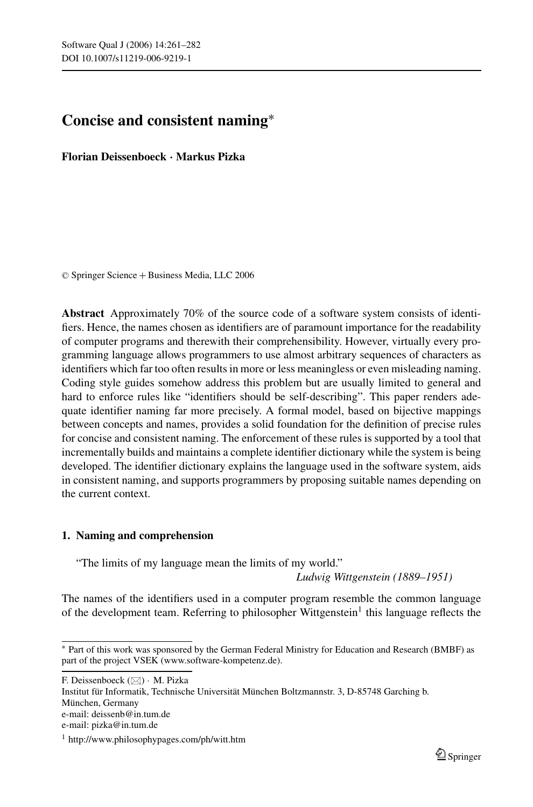# **Concise and consistent naming**<sup>∗</sup>

**Florian Deissenboeck** *·* **Markus Pizka**

<sup>C</sup> Springer Science + Business Media, LLC 2006

**Abstract** Approximately 70% of the source code of a software system consists of identifiers. Hence, the names chosen as identifiers are of paramount importance for the readability of computer programs and therewith their comprehensibility. However, virtually every programming language allows programmers to use almost arbitrary sequences of characters as identifiers which far too often results in more or less meaningless or even misleading naming. Coding style guides somehow address this problem but are usually limited to general and hard to enforce rules like "identifiers should be self-describing". This paper renders adequate identifier naming far more precisely. A formal model, based on bijective mappings between concepts and names, provides a solid foundation for the definition of precise rules for concise and consistent naming. The enforcement of these rules is supported by a tool that incrementally builds and maintains a complete identifier dictionary while the system is being developed. The identifier dictionary explains the language used in the software system, aids in consistent naming, and supports programmers by proposing suitable names depending on the current context.

# **1. Naming and comprehension**

"The limits of my language mean the limits of my world."

*Ludwig Wittgenstein (1889–1951)*

The names of the identifiers used in a computer program resemble the common language of the development team. Referring to philosopher Wittgenstein<sup>1</sup> this language reflects the

Institut für Informatik, Technische Universität München Boltzmannstr. 3, D-85748 Garching b. München, Germany

e-mail: deissenb@in.tum.de

<sup>∗</sup> Part of this work was sponsored by the German Federal Ministry for Education and Research (BMBF) as part of the project VSEK (www.software-kompetenz.de).

F. Deissenboeck  $(\boxtimes)$  · M. Pizka

e-mail: pizka@in.tum.de

<sup>1</sup> http://www.philosophypages.com/ph/witt.htm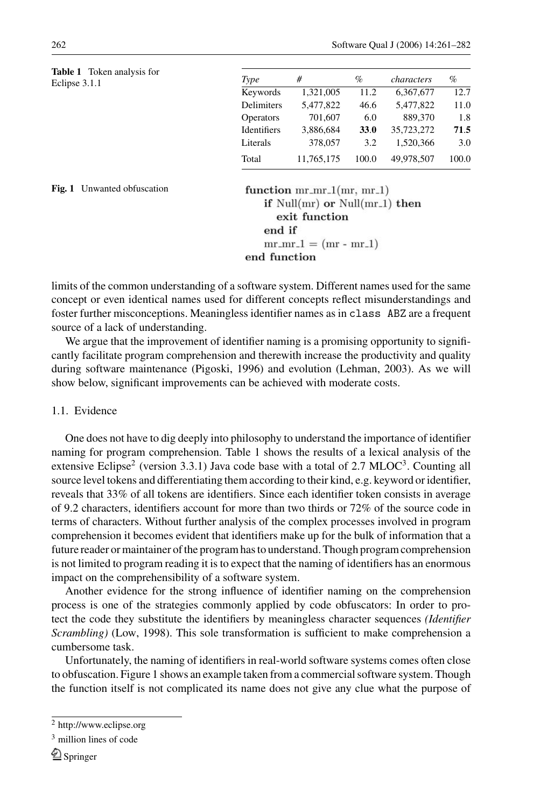| <b>Table 1</b> Token analysis for<br>Eclipse 3.1.1 | Type             | #          | %     | characters | $\%$  |
|----------------------------------------------------|------------------|------------|-------|------------|-------|
|                                                    | Keywords         | 1.321.005  | 11.2  | 6,367,677  | 12.7  |
|                                                    | Delimiters       | 5,477,822  | 46.6  | 5,477,822  | 11.0  |
|                                                    | <b>Operators</b> | 701,607    | 6.0   | 889,370    | 1.8   |
|                                                    | Identifiers      | 3,886,684  | 33.0  | 35,723,272 | 71.5  |
|                                                    | Literals         | 378,057    | 3.2   | 1.520.366  | 3.0   |
|                                                    | Total            | 11.765.175 | 100.0 | 49.978.507 | 100.0 |

**Fig. 1** Unwanted obfuscation

function  $mr_mr_{1}(mr, mr_{1})$ if  $Null(mr)$  or  $Null(mr_1)$  then exit function end if  $mr\_mr\_1 = (mr - mr\_1)$ end function

limits of the common understanding of a software system. Different names used for the same concept or even identical names used for different concepts reflect misunderstandings and foster further misconceptions. Meaningless identifier names as in class ABZ are a frequent source of a lack of understanding.

We argue that the improvement of identifier naming is a promising opportunity to significantly facilitate program comprehension and therewith increase the productivity and quality during software maintenance (Pigoski, 1996) and evolution (Lehman, 2003). As we will show below, significant improvements can be achieved with moderate costs.

### 1.1. Evidence

One does not have to dig deeply into philosophy to understand the importance of identifier naming for program comprehension. Table 1 shows the results of a lexical analysis of the extensive Eclipse<sup>2</sup> (version 3.3.1) Java code base with a total of  $2.7 \text{ MLOC}^3$ . Counting all source level tokens and differentiating them according to their kind, e.g. keyword or identifier, reveals that 33% of all tokens are identifiers. Since each identifier token consists in average of 9.2 characters, identifiers account for more than two thirds or 72% of the source code in terms of characters. Without further analysis of the complex processes involved in program comprehension it becomes evident that identifiers make up for the bulk of information that a future reader or maintainer of the program has to understand. Though program comprehension is not limited to program reading it is to expect that the naming of identifiers has an enormous impact on the comprehensibility of a software system.

Another evidence for the strong influence of identifier naming on the comprehension process is one of the strategies commonly applied by code obfuscators: In order to protect the code they substitute the identifiers by meaningless character sequences *(Identifier Scrambling)* (Low, 1998). This sole transformation is sufficient to make comprehension a cumbersome task.

Unfortunately, the naming of identifiers in real-world software systems comes often close to obfuscation. Figure 1 shows an example taken from a commercial software system. Though the function itself is not complicated its name does not give any clue what the purpose of

<sup>2</sup> http://www.eclipse.org

<sup>&</sup>lt;sup>3</sup> million lines of code

 $@$  Springer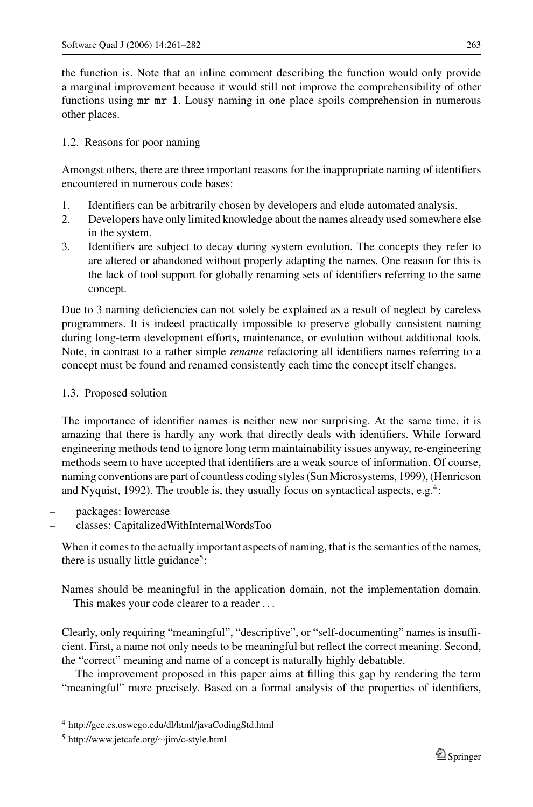the function is. Note that an inline comment describing the function would only provide a marginal improvement because it would still not improve the comprehensibility of other functions using  $mr\_nr_1$ . Lousy naming in one place spoils comprehension in numerous other places.

# 1.2. Reasons for poor naming

Amongst others, there are three important reasons for the inappropriate naming of identifiers encountered in numerous code bases:

- 1. Identifiers can be arbitrarily chosen by developers and elude automated analysis.
- 2. Developers have only limited knowledge about the names already used somewhere else in the system.
- 3. Identifiers are subject to decay during system evolution. The concepts they refer to are altered or abandoned without properly adapting the names. One reason for this is the lack of tool support for globally renaming sets of identifiers referring to the same concept.

Due to 3 naming deficiencies can not solely be explained as a result of neglect by careless programmers. It is indeed practically impossible to preserve globally consistent naming during long-term development efforts, maintenance, or evolution without additional tools. Note, in contrast to a rather simple *rename* refactoring all identifiers names referring to a concept must be found and renamed consistently each time the concept itself changes.

# 1.3. Proposed solution

The importance of identifier names is neither new nor surprising. At the same time, it is amazing that there is hardly any work that directly deals with identifiers. While forward engineering methods tend to ignore long term maintainability issues anyway, re-engineering methods seem to have accepted that identifiers are a weak source of information. Of course, naming conventions are part of countless coding styles (Sun Microsystems, 1999), (Henricson and Nyquist, 1992). The trouble is, they usually focus on syntactical aspects, e.g.<sup>4</sup>:

- packages: lowercase
- classes: CapitalizedWithInternalWordsToo

When it comes to the actually important aspects of naming, that is the semantics of the names, there is usually little guidance<sup>5</sup>:

Names should be meaningful in the application domain, not the implementation domain. This makes your code clearer to a reader . . .

Clearly, only requiring "meaningful", "descriptive", or "self-documenting" names is insufficient. First, a name not only needs to be meaningful but reflect the correct meaning. Second, the "correct" meaning and name of a concept is naturally highly debatable.

The improvement proposed in this paper aims at filling this gap by rendering the term "meaningful" more precisely. Based on a formal analysis of the properties of identifiers,

<sup>4</sup> http://gee.cs.oswego.edu/dl/html/javaCodingStd.html

<sup>5</sup> http://www.jetcafe.org/∼jim/c-style.html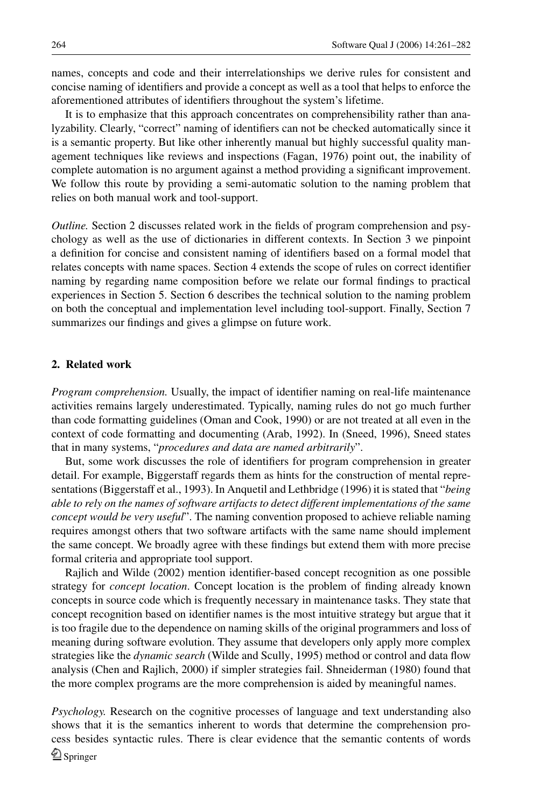names, concepts and code and their interrelationships we derive rules for consistent and concise naming of identifiers and provide a concept as well as a tool that helps to enforce the aforementioned attributes of identifiers throughout the system's lifetime.

It is to emphasize that this approach concentrates on comprehensibility rather than analyzability. Clearly, "correct" naming of identifiers can not be checked automatically since it is a semantic property. But like other inherently manual but highly successful quality management techniques like reviews and inspections (Fagan, 1976) point out, the inability of complete automation is no argument against a method providing a significant improvement. We follow this route by providing a semi-automatic solution to the naming problem that relies on both manual work and tool-support.

*Outline.* Section 2 discusses related work in the fields of program comprehension and psychology as well as the use of dictionaries in different contexts. In Section 3 we pinpoint a definition for concise and consistent naming of identifiers based on a formal model that relates concepts with name spaces. Section 4 extends the scope of rules on correct identifier naming by regarding name composition before we relate our formal findings to practical experiences in Section 5. Section 6 describes the technical solution to the naming problem on both the conceptual and implementation level including tool-support. Finally, Section 7 summarizes our findings and gives a glimpse on future work.

### **2. Related work**

*Program comprehension.* Usually, the impact of identifier naming on real-life maintenance activities remains largely underestimated. Typically, naming rules do not go much further than code formatting guidelines (Oman and Cook, 1990) or are not treated at all even in the context of code formatting and documenting (Arab, 1992). In (Sneed, 1996), Sneed states that in many systems, "*procedures and data are named arbitrarily*".

But, some work discusses the role of identifiers for program comprehension in greater detail. For example, Biggerstaff regards them as hints for the construction of mental representations (Biggerstaff et al., 1993). In Anquetil and Lethbridge (1996) it is stated that "*being able to rely on the names of software artifacts to detect different implementations of the same concept would be very useful*". The naming convention proposed to achieve reliable naming requires amongst others that two software artifacts with the same name should implement the same concept. We broadly agree with these findings but extend them with more precise formal criteria and appropriate tool support.

Rajlich and Wilde (2002) mention identifier-based concept recognition as one possible strategy for *concept location*. Concept location is the problem of finding already known concepts in source code which is frequently necessary in maintenance tasks. They state that concept recognition based on identifier names is the most intuitive strategy but argue that it is too fragile due to the dependence on naming skills of the original programmers and loss of meaning during software evolution. They assume that developers only apply more complex strategies like the *dynamic search* (Wilde and Scully, 1995) method or control and data flow analysis (Chen and Rajlich, 2000) if simpler strategies fail. Shneiderman (1980) found that the more complex programs are the more comprehension is aided by meaningful names.

*Psychology.* Research on the cognitive processes of language and text understanding also shows that it is the semantics inherent to words that determine the comprehension process besides syntactic rules. There is clear evidence that the semantic contents of words  $@$  Springer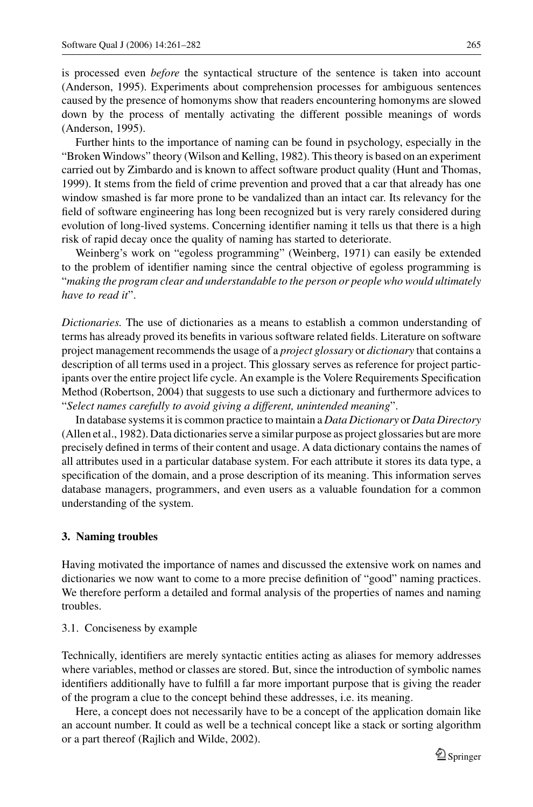is processed even *before* the syntactical structure of the sentence is taken into account (Anderson, 1995). Experiments about comprehension processes for ambiguous sentences caused by the presence of homonyms show that readers encountering homonyms are slowed down by the process of mentally activating the different possible meanings of words (Anderson, 1995).

Further hints to the importance of naming can be found in psychology, especially in the "Broken Windows" theory (Wilson and Kelling, 1982). This theory is based on an experiment carried out by Zimbardo and is known to affect software product quality (Hunt and Thomas, 1999). It stems from the field of crime prevention and proved that a car that already has one window smashed is far more prone to be vandalized than an intact car. Its relevancy for the field of software engineering has long been recognized but is very rarely considered during evolution of long-lived systems. Concerning identifier naming it tells us that there is a high risk of rapid decay once the quality of naming has started to deteriorate.

Weinberg's work on "egoless programming" (Weinberg, 1971) can easily be extended to the problem of identifier naming since the central objective of egoless programming is "*making the program clear and understandable to the person or people who would ultimately have to read it*".

*Dictionaries.* The use of dictionaries as a means to establish a common understanding of terms has already proved its benefits in various software related fields. Literature on software project management recommends the usage of a *project glossary* or *dictionary* that contains a description of all terms used in a project. This glossary serves as reference for project participants over the entire project life cycle. An example is the Volere Requirements Specification Method (Robertson, 2004) that suggests to use such a dictionary and furthermore advices to "*Select names carefully to avoid giving a different, unintended meaning*".

In database systems it is common practice to maintain a *Data Dictionary* or *Data Directory* (Allen et al., 1982). Data dictionaries serve a similar purpose as project glossaries but are more precisely defined in terms of their content and usage. A data dictionary contains the names of all attributes used in a particular database system. For each attribute it stores its data type, a specification of the domain, and a prose description of its meaning. This information serves database managers, programmers, and even users as a valuable foundation for a common understanding of the system.

## **3. Naming troubles**

Having motivated the importance of names and discussed the extensive work on names and dictionaries we now want to come to a more precise definition of "good" naming practices. We therefore perform a detailed and formal analysis of the properties of names and naming troubles.

## 3.1. Conciseness by example

Technically, identifiers are merely syntactic entities acting as aliases for memory addresses where variables, method or classes are stored. But, since the introduction of symbolic names identifiers additionally have to fulfill a far more important purpose that is giving the reader of the program a clue to the concept behind these addresses, i.e. its meaning.

Here, a concept does not necessarily have to be a concept of the application domain like an account number. It could as well be a technical concept like a stack or sorting algorithm or a part thereof (Rajlich and Wilde, 2002).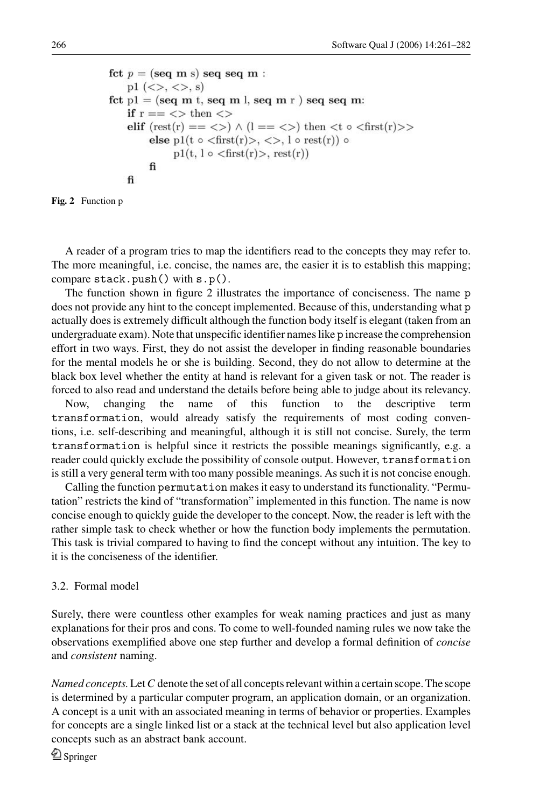```
fct p = (seq \ m \ s) seq seq m :
    p1 (\langle \rangle, \langle \rangle, s)fct pl = (seq m t, seq m l, seq m r) seq seq m:
     if r == \le then \leelif (\text{rest}(r) == \langle \rangle) \wedge (l == \langle \rangle) then \langle t \circ \langle \text{first}(r) \rangle \rangleelse p1(t \circ < first(r) >, < >, l \circ rest(r)) \circp1(t, l \circ \langle \text{first}(r) \rangle, \text{rest}(r))fi
    \mathbf f
```
**Fig. 2** Function p

A reader of a program tries to map the identifiers read to the concepts they may refer to. The more meaningful, i.e. concise, the names are, the easier it is to establish this mapping; compare stack.push() with s.p().

The function shown in figure 2 illustrates the importance of conciseness. The name p does not provide any hint to the concept implemented. Because of this, understanding what p actually does is extremely difficult although the function body itself is elegant (taken from an undergraduate exam). Note that unspecific identifier names like p increase the comprehension effort in two ways. First, they do not assist the developer in finding reasonable boundaries for the mental models he or she is building. Second, they do not allow to determine at the black box level whether the entity at hand is relevant for a given task or not. The reader is forced to also read and understand the details before being able to judge about its relevancy.

Now, changing the name of this function to the descriptive term transformation, would already satisfy the requirements of most coding conventions, i.e. self-describing and meaningful, although it is still not concise. Surely, the term transformation is helpful since it restricts the possible meanings significantly, e.g. a reader could quickly exclude the possibility of console output. However, transformation is still a very general term with too many possible meanings. As such it is not concise enough.

Calling the function permutation makes it easy to understand its functionality. "Permutation" restricts the kind of "transformation" implemented in this function. The name is now concise enough to quickly guide the developer to the concept. Now, the reader is left with the rather simple task to check whether or how the function body implements the permutation. This task is trivial compared to having to find the concept without any intuition. The key to it is the conciseness of the identifier.

# 3.2. Formal model

Surely, there were countless other examples for weak naming practices and just as many explanations for their pros and cons. To come to well-founded naming rules we now take the observations exemplified above one step further and develop a formal definition of *concise* and *consistent* naming.

*Named concepts.*Let*C* denote the set of all concepts relevant within a certain scope. The scope is determined by a particular computer program, an application domain, or an organization. A concept is a unit with an associated meaning in terms of behavior or properties. Examples for concepts are a single linked list or a stack at the technical level but also application level concepts such as an abstract bank account.

 $\bigcirc$  Springer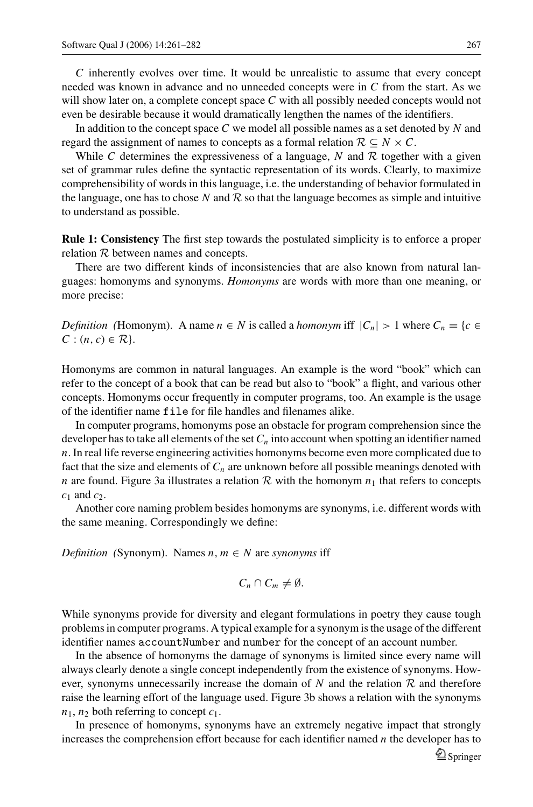*C* inherently evolves over time. It would be unrealistic to assume that every concept needed was known in advance and no unneeded concepts were in *C* from the start. As we will show later on, a complete concept space *C* with all possibly needed concepts would not even be desirable because it would dramatically lengthen the names of the identifiers.

In addition to the concept space *C* we model all possible names as a set denoted by *N* and regard the assignment of names to concepts as a formal relation  $\mathcal{R} \subseteq N \times C$ .

While *C* determines the expressiveness of a language, N and  $R$  together with a given set of grammar rules define the syntactic representation of its words. Clearly, to maximize comprehensibility of words in this language, i.e. the understanding of behavior formulated in the language, one has to chose N and  $R$  so that the language becomes as simple and intuitive to understand as possible.

**Rule 1: Consistency** The first step towards the postulated simplicity is to enforce a proper relation R between names and concepts.

There are two different kinds of inconsistencies that are also known from natural languages: homonyms and synonyms. *Homonyms* are words with more than one meaning, or more precise:

*Definition* (Homonym). A name  $n \in N$  is called a *homonym* iff  $|C_n| > 1$  where  $C_n = \{c \in N : |C_n| \leq C \}$  $C$  :  $(n, c) \in \mathcal{R}$ .

Homonyms are common in natural languages. An example is the word "book" which can refer to the concept of a book that can be read but also to "book" a flight, and various other concepts. Homonyms occur frequently in computer programs, too. An example is the usage of the identifier name file for file handles and filenames alike.

In computer programs, homonyms pose an obstacle for program comprehension since the developer has to take all elements of the set  $C_n$  into account when spotting an identifier named *n*. In real life reverse engineering activities homonyms become even more complicated due to fact that the size and elements of  $C_n$  are unknown before all possible meanings denoted with *n* are found. Figure 3a illustrates a relation  $R$  with the homonym  $n_1$  that refers to concepts  $c_1$  and  $c_2$ .

Another core naming problem besides homonyms are synonyms, i.e. different words with the same meaning. Correspondingly we define:

*Definition (Synonym).* Names  $n, m \in N$  are *synonyms* iff

$$
C_n\cap C_m\neq\emptyset.
$$

While synonyms provide for diversity and elegant formulations in poetry they cause tough problems in computer programs. A typical example for a synonym is the usage of the different identifier names accountNumber and number for the concept of an account number.

In the absence of homonyms the damage of synonyms is limited since every name will always clearly denote a single concept independently from the existence of synonyms. However, synonyms unnecessarily increase the domain of  $N$  and the relation  $R$  and therefore raise the learning effort of the language used. Figure 3b shows a relation with the synonyms  $n_1$ ,  $n_2$  both referring to concept  $c_1$ .

In presence of homonyms, synonyms have an extremely negative impact that strongly increases the comprehension effort because for each identifier named *n* the developer has to  $\mathcal{D}_{\text{Springer}}$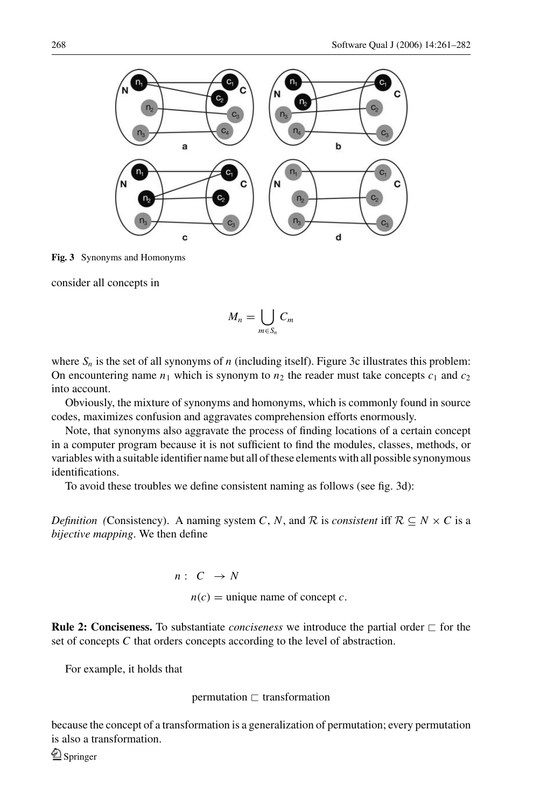

**Fig. 3** Synonyms and Homonyms

consider all concepts in

$$
M_n=\bigcup_{m\in S_n}C_m
$$

where  $S_n$  is the set of all synonyms of *n* (including itself). Figure 3c illustrates this problem: On encountering name  $n_1$  which is synonym to  $n_2$  the reader must take concepts  $c_1$  and  $c_2$ into account.

Obviously, the mixture of synonyms and homonyms, which is commonly found in source codes, maximizes confusion and aggravates comprehension efforts enormously.

Note, that synonyms also aggravate the process of finding locations of a certain concept in a computer program because it is not sufficient to find the modules, classes, methods, or variables with a suitable identifier name but all of these elements with all possible synonymous identifications.

To avoid these troubles we define consistent naming as follows (see fig. 3d):

*Definition (Consistency).* A naming system *C*, *N*, and  $R$  is *consistent* iff  $R \subseteq N \times C$  is a *bijective mapping*. We then define

$$
n: C \to N
$$
  

$$
n(c) = \text{unique name of concept } c.
$$

**Rule 2: Conciseness.** To substantiate *conciseness* we introduce the partial order  $\subseteq$  for the set of concepts *C* that orders concepts according to the level of abstraction.

For example, it holds that

# permutation  $\sqsubset$  transformation

because the concept of a transformation is a generalization of permutation; every permutation is also a transformation.

 $\bigcirc$  Springer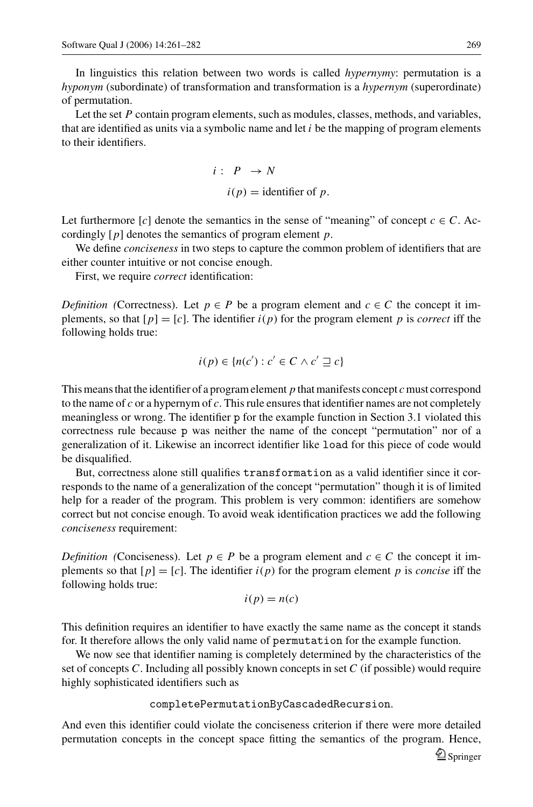In linguistics this relation between two words is called *hypernymy*: permutation is a *hyponym* (subordinate) of transformation and transformation is a *hypernym* (superordinate) of permutation.

Let the set *P* contain program elements, such as modules, classes, methods, and variables, that are identified as units via a symbolic name and let *i* be the mapping of program elements to their identifiers.

$$
i: P \to N
$$
  

$$
i(p) = \text{identifier of } p.
$$

Let furthermore [*c*] denote the semantics in the sense of "meaning" of concept  $c \in C$ . Accordingly [*p*] denotes the semantics of program element *p*.

We define *conciseness* in two steps to capture the common problem of identifiers that are either counter intuitive or not concise enough.

First, we require *correct* identification:

*Definition (*Correctness). Let  $p \in P$  be a program element and  $c \in C$  the concept it implements, so that  $[p] = [c]$ . The identifier  $i(p)$  for the program element *p* is *correct* iff the following holds true:

$$
i(p) \in \{n(c') : c' \in C \land c' \sqsupseteq c\}
$$

This means that the identifier of a program element *p* that manifests concept *c* must correspond to the name of *c* or a hypernym of *c*. This rule ensures that identifier names are not completely meaningless or wrong. The identifier p for the example function in Section 3.1 violated this correctness rule because p was neither the name of the concept "permutation" nor of a generalization of it. Likewise an incorrect identifier like load for this piece of code would be disqualified.

But, correctness alone still qualifies transformation as a valid identifier since it corresponds to the name of a generalization of the concept "permutation" though it is of limited help for a reader of the program. This problem is very common: identifiers are somehow correct but not concise enough. To avoid weak identification practices we add the following *conciseness* requirement:

*Definition (*Conciseness). Let  $p \in P$  be a program element and  $c \in C$  the concept it implements so that  $[p] = [c]$ . The identifier  $i(p)$  for the program element p is *concise* iff the following holds true:

$$
i(p) = n(c)
$$

This definition requires an identifier to have exactly the same name as the concept it stands for. It therefore allows the only valid name of permutation for the example function.

We now see that identifier naming is completely determined by the characteristics of the set of concepts *C*. Including all possibly known concepts in set *C* (if possible) would require highly sophisticated identifiers such as

$$
{\tt completePermutationByCascaded Recursion}.
$$

And even this identifier could violate the conciseness criterion if there were more detailed permutation concepts in the concept space fitting the semantics of the program. Hence,  $\bigcirc$  Springer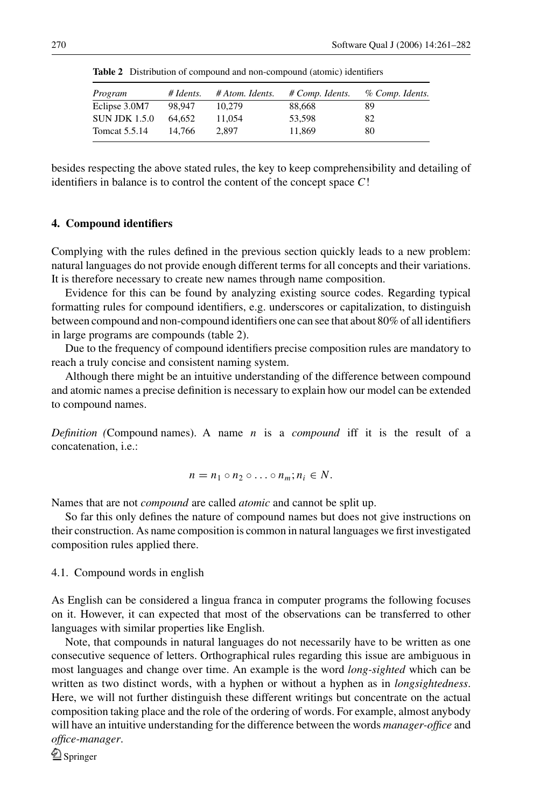| Program              | # Idents. | # Atom. Idents. | # Comp. Idents. | % Comp. Idents. |
|----------------------|-----------|-----------------|-----------------|-----------------|
| Eclipse 3.0M7        | 98.947    | 10.279          | 88.668          | 89              |
| <b>SUN JDK 1.5.0</b> | 64.652    | 11.054          | 53,598          | 82              |
| Tomcat 5.5.14        | 14.766    | 2.897           | 11.869          | 80              |

**Table 2** Distribution of compound and non-compound (atomic) identifiers

besides respecting the above stated rules, the key to keep comprehensibility and detailing of identifiers in balance is to control the content of the concept space *C*!

#### **4. Compound identifiers**

Complying with the rules defined in the previous section quickly leads to a new problem: natural languages do not provide enough different terms for all concepts and their variations. It is therefore necessary to create new names through name composition.

Evidence for this can be found by analyzing existing source codes. Regarding typical formatting rules for compound identifiers, e.g. underscores or capitalization, to distinguish between compound and non-compound identifiers one can see that about 80% of all identifiers in large programs are compounds (table 2).

Due to the frequency of compound identifiers precise composition rules are mandatory to reach a truly concise and consistent naming system.

Although there might be an intuitive understanding of the difference between compound and atomic names a precise definition is necessary to explain how our model can be extended to compound names.

*Definition (*Compound names). A name *n* is a *compound* iff it is the result of a concatenation, i.e.:

$$
n = n_1 \circ n_2 \circ \ldots \circ n_m; n_i \in N.
$$

Names that are not *compound* are called *atomic* and cannot be split up.

So far this only defines the nature of compound names but does not give instructions on their construction. As name composition is common in natural languages we first investigated composition rules applied there.

4.1. Compound words in english

As English can be considered a lingua franca in computer programs the following focuses on it. However, it can expected that most of the observations can be transferred to other languages with similar properties like English.

Note, that compounds in natural languages do not necessarily have to be written as one consecutive sequence of letters. Orthographical rules regarding this issue are ambiguous in most languages and change over time. An example is the word *long-sighted* which can be written as two distinct words, with a hyphen or without a hyphen as in *longsightedness*. Here, we will not further distinguish these different writings but concentrate on the actual composition taking place and the role of the ordering of words. For example, almost anybody will have an intuitive understanding for the difference between the words *manager-office* and *office-manager*.

 $@$  Springer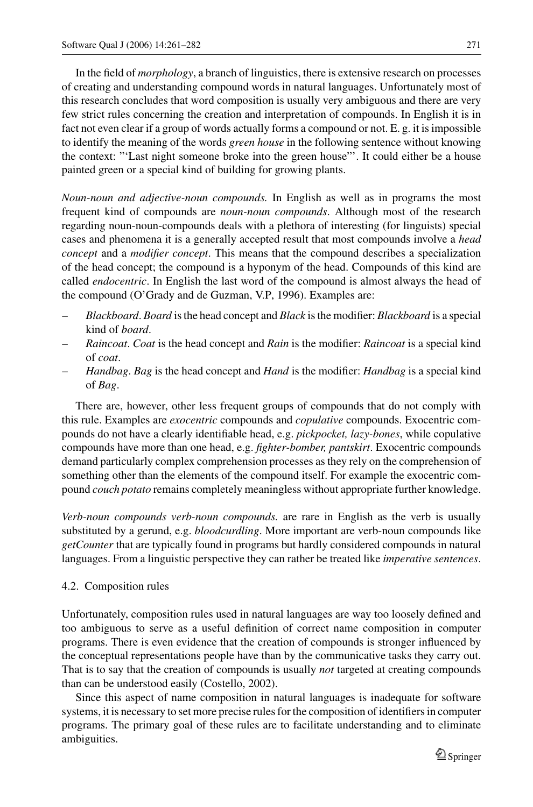In the field of *morphology*, a branch of linguistics, there is extensive research on processes of creating and understanding compound words in natural languages. Unfortunately most of this research concludes that word composition is usually very ambiguous and there are very few strict rules concerning the creation and interpretation of compounds. In English it is in fact not even clear if a group of words actually forms a compound or not. E. g. it is impossible to identify the meaning of the words *green house* in the following sentence without knowing the context: "'Last night someone broke into the green house"'. It could either be a house painted green or a special kind of building for growing plants.

*Noun-noun and adjective-noun compounds.* In English as well as in programs the most frequent kind of compounds are *noun-noun compounds*. Although most of the research regarding noun-noun-compounds deals with a plethora of interesting (for linguists) special cases and phenomena it is a generally accepted result that most compounds involve a *head concept* and a *modifier concept*. This means that the compound describes a specialization of the head concept; the compound is a hyponym of the head. Compounds of this kind are called *endocentric*. In English the last word of the compound is almost always the head of the compound (O'Grady and de Guzman, V.P, 1996). Examples are:

- *Blackboard*. *Board* is the head concept and *Black* is the modifier: *Blackboard* is a special kind of *board*.
- *Raincoat*. *Coat* is the head concept and *Rain* is the modifier: *Raincoat* is a special kind of *coat*.
- *Handbag*. *Bag* is the head concept and *Hand* is the modifier: *Handbag* is a special kind of *Bag*.

There are, however, other less frequent groups of compounds that do not comply with this rule. Examples are *exocentric* compounds and *copulative* compounds. Exocentric compounds do not have a clearly identifiable head, e.g. *pickpocket, lazy-bones*, while copulative compounds have more than one head, e.g. *fighter-bomber, pantskirt*. Exocentric compounds demand particularly complex comprehension processes as they rely on the comprehension of something other than the elements of the compound itself. For example the exocentric compound *couch potato* remains completely meaningless without appropriate further knowledge.

*Verb-noun compounds verb-noun compounds.* are rare in English as the verb is usually substituted by a gerund, e.g. *bloodcurdling*. More important are verb-noun compounds like *getCounter* that are typically found in programs but hardly considered compounds in natural languages. From a linguistic perspective they can rather be treated like *imperative sentences*.

# 4.2. Composition rules

Unfortunately, composition rules used in natural languages are way too loosely defined and too ambiguous to serve as a useful definition of correct name composition in computer programs. There is even evidence that the creation of compounds is stronger influenced by the conceptual representations people have than by the communicative tasks they carry out. That is to say that the creation of compounds is usually *not* targeted at creating compounds than can be understood easily (Costello, 2002).

Since this aspect of name composition in natural languages is inadequate for software systems, it is necessary to set more precise rules for the composition of identifiers in computer programs. The primary goal of these rules are to facilitate understanding and to eliminate ambiguities.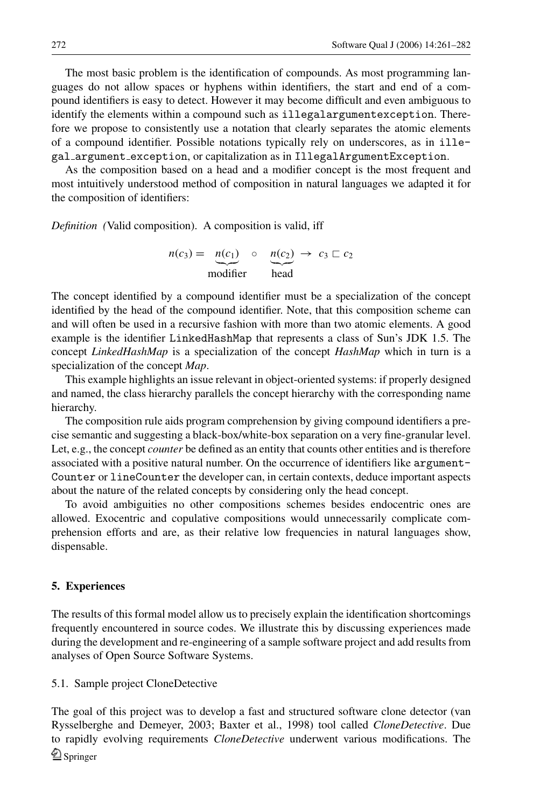The most basic problem is the identification of compounds. As most programming languages do not allow spaces or hyphens within identifiers, the start and end of a compound identifiers is easy to detect. However it may become difficult and even ambiguous to identify the elements within a compound such as illegalargumentexception. Therefore we propose to consistently use a notation that clearly separates the atomic elements of a compound identifier. Possible notations typically rely on underscores, as in illegal argument exception, or capitalization as in IllegalArgumentException.

As the composition based on a head and a modifier concept is the most frequent and most intuitively understood method of composition in natural languages we adapted it for the composition of identifiers:

*Definition (*Valid composition). A composition is valid, iff

$$
n(c_3) = n(c_1) \circ n(c_2) \to c_3 \sqsubset c_2
$$
  
modifier head

The concept identified by a compound identifier must be a specialization of the concept identified by the head of the compound identifier. Note, that this composition scheme can and will often be used in a recursive fashion with more than two atomic elements. A good example is the identifier LinkedHashMap that represents a class of Sun's JDK 1.5. The concept *LinkedHashMap* is a specialization of the concept *HashMap* which in turn is a specialization of the concept *Map*.

This example highlights an issue relevant in object-oriented systems: if properly designed and named, the class hierarchy parallels the concept hierarchy with the corresponding name hierarchy.

The composition rule aids program comprehension by giving compound identifiers a precise semantic and suggesting a black-box/white-box separation on a very fine-granular level. Let, e.g., the concept *counter* be defined as an entity that counts other entities and is therefore associated with a positive natural number. On the occurrence of identifiers like argument-Counter or lineCounter the developer can, in certain contexts, deduce important aspects about the nature of the related concepts by considering only the head concept.

To avoid ambiguities no other compositions schemes besides endocentric ones are allowed. Exocentric and copulative compositions would unnecessarily complicate comprehension efforts and are, as their relative low frequencies in natural languages show, dispensable.

#### **5. Experiences**

The results of this formal model allow us to precisely explain the identification shortcomings frequently encountered in source codes. We illustrate this by discussing experiences made during the development and re-engineering of a sample software project and add results from analyses of Open Source Software Systems.

5.1. Sample project CloneDetective

The goal of this project was to develop a fast and structured software clone detector (van Rysselberghe and Demeyer, 2003; Baxter et al., 1998) tool called *CloneDetective*. Due to rapidly evolving requirements *CloneDetective* underwent various modifications. The  $@$  Springer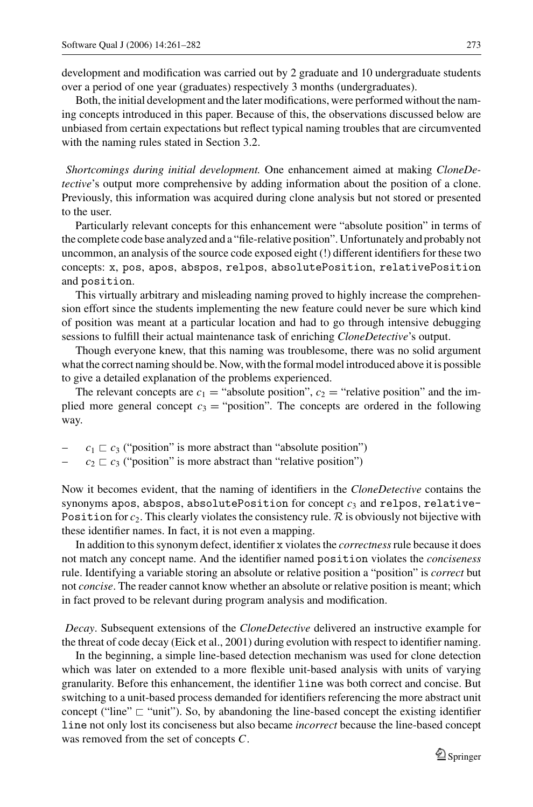development and modification was carried out by 2 graduate and 10 undergraduate students over a period of one year (graduates) respectively 3 months (undergraduates).

Both, the initial development and the later modifications, were performed without the naming concepts introduced in this paper. Because of this, the observations discussed below are unbiased from certain expectations but reflect typical naming troubles that are circumvented with the naming rules stated in Section 3.2.

*Shortcomings during initial development.* One enhancement aimed at making *CloneDetective*'s output more comprehensive by adding information about the position of a clone. Previously, this information was acquired during clone analysis but not stored or presented to the user.

Particularly relevant concepts for this enhancement were "absolute position" in terms of the complete code base analyzed and a "file-relative position". Unfortunately and probably not uncommon, an analysis of the source code exposed eight (!) different identifiers for these two concepts: x, pos, apos, abspos, relpos, absolutePosition, relativePosition and position.

This virtually arbitrary and misleading naming proved to highly increase the comprehension effort since the students implementing the new feature could never be sure which kind of position was meant at a particular location and had to go through intensive debugging sessions to fulfill their actual maintenance task of enriching *CloneDetective*'s output.

Though everyone knew, that this naming was troublesome, there was no solid argument what the correct naming should be. Now, with the formal model introduced above it is possible to give a detailed explanation of the problems experienced.

The relevant concepts are  $c_1$  = "absolute position",  $c_2$  = "relative position" and the implied more general concept  $c_3$  = "position". The concepts are ordered in the following way.

- $-c_1 \rvert c_3$  ("position" is more abstract than "absolute position")
- $-c_2 \rvert c_3$  ("position" is more abstract than "relative position")

Now it becomes evident, that the naming of identifiers in the *CloneDetective* contains the synonyms apos, abspos, absolutePosition for concept  $c_3$  and relpos, relative-Position for  $c_2$ . This clearly violates the consistency rule.  $R$  is obviously not bijective with these identifier names. In fact, it is not even a mapping.

In addition to this synonym defect, identifier x violates the *correctness*rule because it does not match any concept name. And the identifier named position violates the *conciseness* rule. Identifying a variable storing an absolute or relative position a "position" is *correct* but not *concise*. The reader cannot know whether an absolute or relative position is meant; which in fact proved to be relevant during program analysis and modification.

*Decay*. Subsequent extensions of the *CloneDetective* delivered an instructive example for the threat of code decay (Eick et al., 2001) during evolution with respect to identifier naming.

In the beginning, a simple line-based detection mechanism was used for clone detection which was later on extended to a more flexible unit-based analysis with units of varying granularity. Before this enhancement, the identifier line was both correct and concise. But switching to a unit-based process demanded for identifiers referencing the more abstract unit concept ("line"  $\sqsubset$  "unit"). So, by abandoning the line-based concept the existing identifier line not only lost its conciseness but also became *incorrect* because the line-based concept was removed from the set of concepts *C*.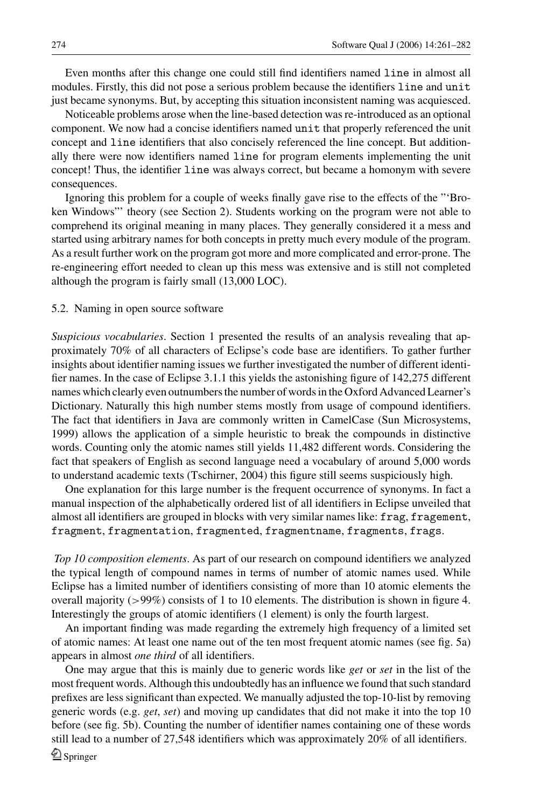Even months after this change one could still find identifiers named line in almost all modules. Firstly, this did not pose a serious problem because the identifiers line and unit just became synonyms. But, by accepting this situation inconsistent naming was acquiesced.

Noticeable problems arose when the line-based detection was re-introduced as an optional component. We now had a concise identifiers named unit that properly referenced the unit concept and line identifiers that also concisely referenced the line concept. But additionally there were now identifiers named line for program elements implementing the unit concept! Thus, the identifier line was always correct, but became a homonym with severe consequences.

Ignoring this problem for a couple of weeks finally gave rise to the effects of the "'Broken Windows"' theory (see Section 2). Students working on the program were not able to comprehend its original meaning in many places. They generally considered it a mess and started using arbitrary names for both concepts in pretty much every module of the program. As a result further work on the program got more and more complicated and error-prone. The re-engineering effort needed to clean up this mess was extensive and is still not completed although the program is fairly small (13,000 LOC).

#### 5.2. Naming in open source software

*Suspicious vocabularies*. Section 1 presented the results of an analysis revealing that approximately 70% of all characters of Eclipse's code base are identifiers. To gather further insights about identifier naming issues we further investigated the number of different identifier names. In the case of Eclipse 3.1.1 this yields the astonishing figure of 142,275 different names which clearly even outnumbers the number of words in the Oxford Advanced Learner's Dictionary. Naturally this high number stems mostly from usage of compound identifiers. The fact that identifiers in Java are commonly written in CamelCase (Sun Microsystems, 1999) allows the application of a simple heuristic to break the compounds in distinctive words. Counting only the atomic names still yields 11,482 different words. Considering the fact that speakers of English as second language need a vocabulary of around 5,000 words to understand academic texts (Tschirner, 2004) this figure still seems suspiciously high.

One explanation for this large number is the frequent occurrence of synonyms. In fact a manual inspection of the alphabetically ordered list of all identifiers in Eclipse unveiled that almost all identifiers are grouped in blocks with very similar names like: frag, fragement, fragment, fragmentation, fragmented, fragmentname, fragments, frags.

*Top 10 composition elements*. As part of our research on compound identifiers we analyzed the typical length of compound names in terms of number of atomic names used. While Eclipse has a limited number of identifiers consisting of more than 10 atomic elements the overall majority  $(>99\%)$  consists of 1 to 10 elements. The distribution is shown in figure 4. Interestingly the groups of atomic identifiers (1 element) is only the fourth largest.

An important finding was made regarding the extremely high frequency of a limited set of atomic names: At least one name out of the ten most frequent atomic names (see fig. 5a) appears in almost *one third* of all identifiers.

One may argue that this is mainly due to generic words like *get* or *set* in the list of the most frequent words. Although this undoubtedly has an influence we found that such standard prefixes are less significant than expected. We manually adjusted the top-10-list by removing generic words (e.g. *get*, *set*) and moving up candidates that did not make it into the top 10 before (see fig. 5b). Counting the number of identifier names containing one of these words still lead to a number of 27,548 identifiers which was approximately 20% of all identifiers.  $\bigcirc$  Springer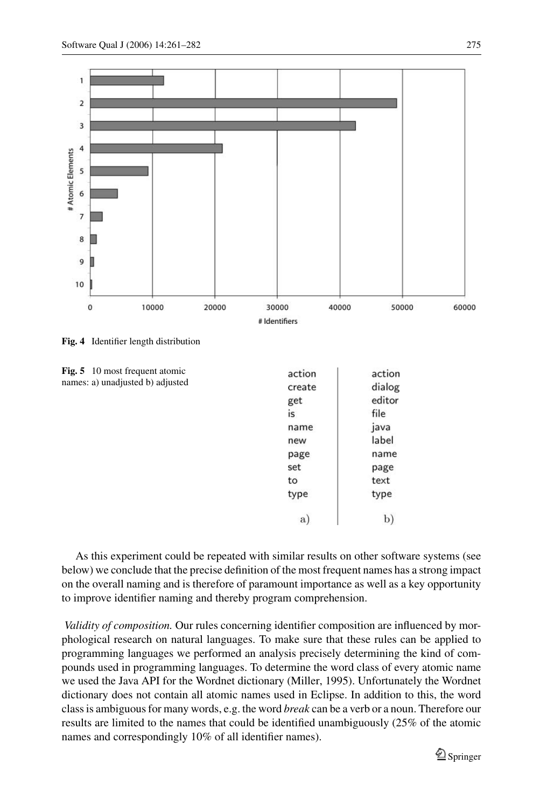

**Fig. 5** 10 most frequent atomic names: a) unadjusted b) adjusted

| action | action |
|--------|--------|
| create | dialog |
| get    | editor |
| is     | file   |
| name   | java   |
| new    | label  |
| page   | name   |
| set    | page   |
| to     | text   |
| type   | type   |
|        |        |

As this experiment could be repeated with similar results on other software systems (see below) we conclude that the precise definition of the most frequent names has a strong impact on the overall naming and is therefore of paramount importance as well as a key opportunity to improve identifier naming and thereby program comprehension.

*Validity of composition.* Our rules concerning identifier composition are influenced by morphological research on natural languages. To make sure that these rules can be applied to programming languages we performed an analysis precisely determining the kind of compounds used in programming languages. To determine the word class of every atomic name we used the Java API for the Wordnet dictionary (Miller, 1995). Unfortunately the Wordnet dictionary does not contain all atomic names used in Eclipse. In addition to this, the word class is ambiguous for many words, e.g. the word *break* can be a verb or a noun. Therefore our results are limited to the names that could be identified unambiguously (25% of the atomic names and correspondingly 10% of all identifier names).

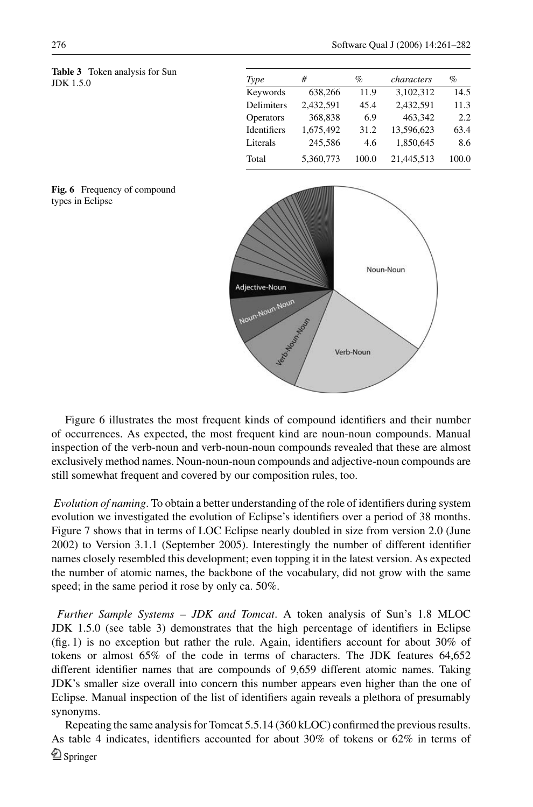| <b>Table 3</b> Token analysis for Sun |  |  |
|---------------------------------------|--|--|
| <b>JDK</b> 1.5.0                      |  |  |

| <b>Table 3</b> Token analysis for Sun<br>JDK 1.5.0 | Type             | #         | $\%$  | characters | $\%$  |
|----------------------------------------------------|------------------|-----------|-------|------------|-------|
|                                                    | Keywords         | 638,266   | 11.9  | 3.102.312  | 14.5  |
|                                                    | Delimiters       | 2,432,591 | 45.4  | 2,432,591  | 11.3  |
|                                                    | <b>Operators</b> | 368,838   | 6.9   | 463.342    | 2.2   |
|                                                    | Identifiers      | 1.675.492 | 31.2  | 13.596.623 | 63.4  |
|                                                    | Literals         | 245.586   | 4.6   | 1.850.645  | 8.6   |
|                                                    | Total            | 5.360.773 | 100.0 | 21.445.513 | 100.0 |
|                                                    |                  |           |       |            |       |

**Fig. 6** Frequency of compound types in Eclipse



Figure 6 illustrates the most frequent kinds of compound identifiers and their number of occurrences. As expected, the most frequent kind are noun-noun compounds. Manual inspection of the verb-noun and verb-noun-noun compounds revealed that these are almost exclusively method names. Noun-noun-noun compounds and adjective-noun compounds are still somewhat frequent and covered by our composition rules, too.

*Evolution of naming*. To obtain a better understanding of the role of identifiers during system evolution we investigated the evolution of Eclipse's identifiers over a period of 38 months. Figure 7 shows that in terms of LOC Eclipse nearly doubled in size from version 2.0 (June 2002) to Version 3.1.1 (September 2005). Interestingly the number of different identifier names closely resembled this development; even topping it in the latest version. As expected the number of atomic names, the backbone of the vocabulary, did not grow with the same speed; in the same period it rose by only ca. 50%.

*Further Sample Systems – JDK and Tomcat*. A token analysis of Sun's 1.8 MLOC JDK 1.5.0 (see table 3) demonstrates that the high percentage of identifiers in Eclipse (fig. 1) is no exception but rather the rule. Again, identifiers account for about 30% of tokens or almost 65% of the code in terms of characters. The JDK features 64,652 different identifier names that are compounds of 9,659 different atomic names. Taking JDK's smaller size overall into concern this number appears even higher than the one of Eclipse. Manual inspection of the list of identifiers again reveals a plethora of presumably synonyms.

Repeating the same analysis for Tomcat 5.5.14 (360 kLOC) confirmed the previous results. As table 4 indicates, identifiers accounted for about 30% of tokens or 62% in terms of  $\bigcirc$  Springer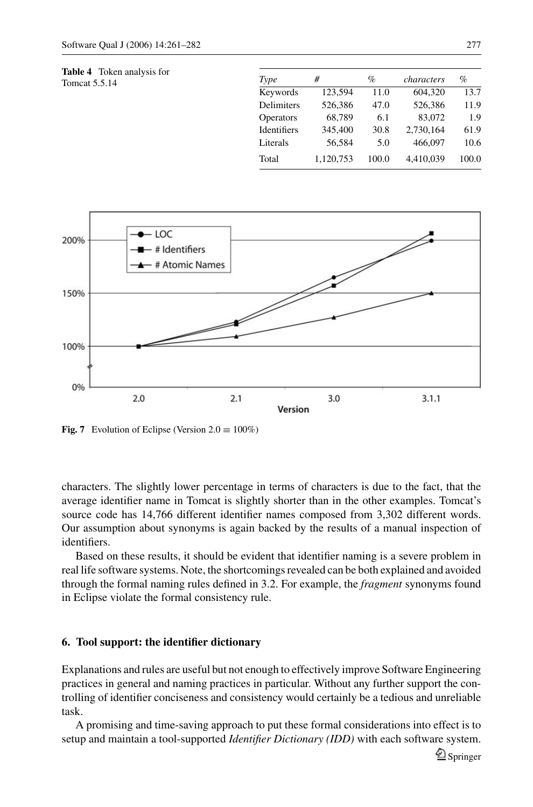**Table 4** Token analysis for Tomcat 5.5.14

| <b>Table 4</b> Token analysis for<br>Tomcat 5.5.14 | Type             | #         | $\%$  | characters | $\%$  |
|----------------------------------------------------|------------------|-----------|-------|------------|-------|
|                                                    | Keywords         | 123,594   | 11.0  | 604.320    | 13.7  |
|                                                    | Delimiters       | 526,386   | 47.0  | 526.386    | 11.9  |
|                                                    | <b>Operators</b> | 68.789    | 6.1   | 83,072     | 1.9   |
|                                                    | Identifiers      | 345,400   | 30.8  | 2,730,164  | 61.9  |
|                                                    | Literals         | 56.584    | 5.0   | 466,097    | 10.6  |
|                                                    | Total            | 1.120.753 | 100.0 | 4.410.039  | 100.0 |
|                                                    |                  |           |       |            |       |



**Fig. 7** Evolution of Eclipse (Version  $2.0 \equiv 100\%$ )

characters. The slightly lower percentage in terms of characters is due to the fact, that the average identifier name in Tomcat is slightly shorter than in the other examples. Tomcat's source code has 14,766 different identifier names composed from 3,302 different words. Our assumption about synonyms is again backed by the results of a manual inspection of identifiers.

Based on these results, it should be evident that identifier naming is a severe problem in real life software systems. Note, the shortcomings revealed can be both explained and avoided through the formal naming rules defined in 3.2. For example, the *fragment* synonyms found in Eclipse violate the formal consistency rule.

## **6. Tool support: the identifier dictionary**

Explanations and rules are useful but not enough to effectively improve Software Engineering practices in general and naming practices in particular. Without any further support the controlling of identifier conciseness and consistency would certainly be a tedious and unreliable task.

A promising and time-saving approach to put these formal considerations into effect is to setup and maintain a tool-supported *Identifier Dictionary (IDD)* with each software system.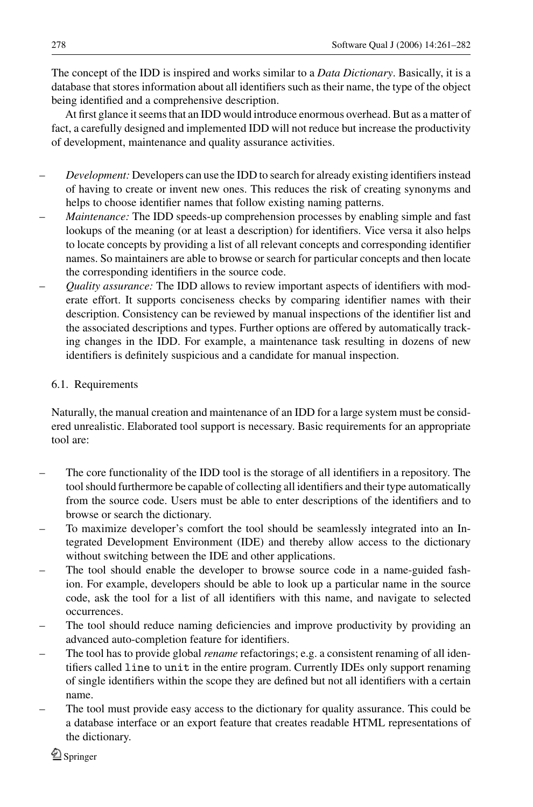The concept of the IDD is inspired and works similar to a *Data Dictionary*. Basically, it is a database that stores information about all identifiers such as their name, the type of the object being identified and a comprehensive description.

At first glance it seems that an IDD would introduce enormous overhead. But as a matter of fact, a carefully designed and implemented IDD will not reduce but increase the productivity of development, maintenance and quality assurance activities.

- *Development:* Developers can use the IDD to search for already existing identifiers instead of having to create or invent new ones. This reduces the risk of creating synonyms and helps to choose identifier names that follow existing naming patterns.
- *Maintenance:* The IDD speeds-up comprehension processes by enabling simple and fast lookups of the meaning (or at least a description) for identifiers. Vice versa it also helps to locate concepts by providing a list of all relevant concepts and corresponding identifier names. So maintainers are able to browse or search for particular concepts and then locate the corresponding identifiers in the source code.
- *Quality assurance:* The IDD allows to review important aspects of identifiers with moderate effort. It supports conciseness checks by comparing identifier names with their description. Consistency can be reviewed by manual inspections of the identifier list and the associated descriptions and types. Further options are offered by automatically tracking changes in the IDD. For example, a maintenance task resulting in dozens of new identifiers is definitely suspicious and a candidate for manual inspection.

# 6.1. Requirements

Naturally, the manual creation and maintenance of an IDD for a large system must be considered unrealistic. Elaborated tool support is necessary. Basic requirements for an appropriate tool are:

- The core functionality of the IDD tool is the storage of all identifiers in a repository. The tool should furthermore be capable of collecting all identifiers and their type automatically from the source code. Users must be able to enter descriptions of the identifiers and to browse or search the dictionary.
- To maximize developer's comfort the tool should be seamlessly integrated into an Integrated Development Environment (IDE) and thereby allow access to the dictionary without switching between the IDE and other applications.
- The tool should enable the developer to browse source code in a name-guided fashion. For example, developers should be able to look up a particular name in the source code, ask the tool for a list of all identifiers with this name, and navigate to selected occurrences.
- The tool should reduce naming deficiencies and improve productivity by providing an advanced auto-completion feature for identifiers.
- The tool has to provide global *rename* refactorings; e.g. a consistent renaming of all identifiers called line to unit in the entire program. Currently IDEs only support renaming of single identifiers within the scope they are defined but not all identifiers with a certain name.
- The tool must provide easy access to the dictionary for quality assurance. This could be a database interface or an export feature that creates readable HTML representations of the dictionary.

 $\triangle$  Springer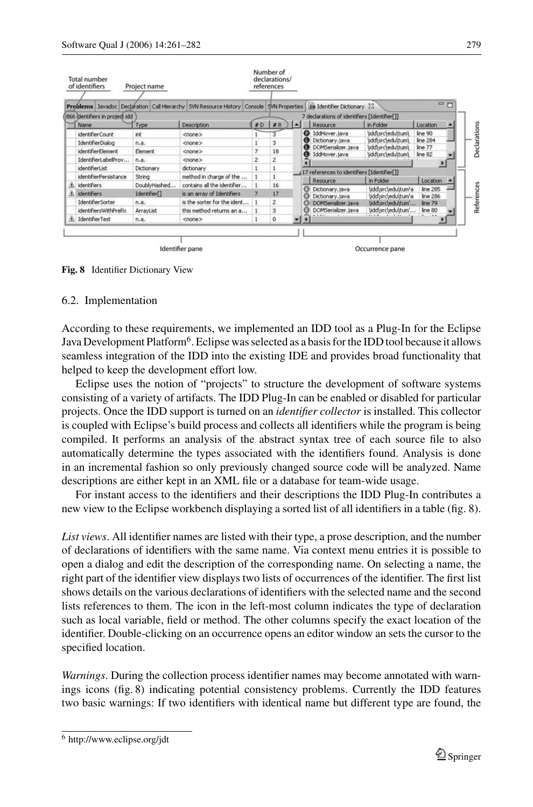|   |                                |              | Problems Javadoc Declaration Call Hierarchy SVN Resource History Console SVN Properties |                |           |   | Do Identifier Dictionary 23                  |                                          |                      | $-1$ |
|---|--------------------------------|--------------|-----------------------------------------------------------------------------------------|----------------|-----------|---|----------------------------------------------|------------------------------------------|----------------------|------|
|   | 866 identifiers in project idd |              |                                                                                         |                |           |   | 7 declarations of identifiers [Identifier[]] |                                          |                      |      |
|   | Name                           | Type         | Description                                                                             | #D             | #R        | × | Resource                                     | in Folder                                | Location             |      |
|   | identifierCount                | int          | <none></none>                                                                           | $\mathbf{1}$   |           |   | d IddHover.java                              | \idd\src\edu\tum\                        | line 90              |      |
|   | <b>IdentifierDialog</b>        | n.a.         | <none></none>                                                                           |                | 3         |   | Dictionary.java                              | liddlsrcledultuml                        | line 284             |      |
|   | identifierElement              | Element      | <none></none>                                                                           | $\overline{7}$ | 18        |   | DOMSerializer.java<br>IddHover.java<br>ø     | \idd\src\edu\tum\<br>(idd)src\edu\tum\   | line 77<br>line 82   |      |
|   | IdentifierLabelProv            | n.a.         | $<$ none $>$                                                                            | $\overline{c}$ |           |   |                                              |                                          |                      |      |
|   | <b>identifierList</b>          | Dictionary   | dictionary                                                                              | $\mathbf{1}$   |           |   |                                              |                                          |                      |      |
|   | identifierPersistance          | String       | method in charge of the                                                                 | $\mathbf{1}$   |           |   | 17 references to identifiers [Identifier[]]  |                                          | Location             |      |
| A | identifiers                    | DoublyHashed | contains all the identifier                                                             | $\mathbf{1}$   | 16        |   | Resource                                     | in Folder                                |                      |      |
| А | <b>identifiers</b>             | Identifier[] | is an array of Identifiers                                                              |                | 17        |   | Dictionary.java<br>ഒ<br>Dictionary.java      | liddlsrcledultum'a<br>liddlsrcledultum'a | line 285<br>line 286 |      |
|   | <b>IdentifierSorter</b>        | n.a.         | is the sorter for the ident                                                             | $\mathbf{1}$   | $\bar{z}$ |   | DOMSerializer.java                           | liddlsrcledultum'.                       | line 79              |      |
|   | identifiersWithPrefix          | ArrayList    | this method returns an a                                                                |                | 3         |   | DOMSerializer.java                           | (idd)src\edu\tum'                        | line 80              |      |
|   | A IdentifierTest               | n.a.         | <none></none>                                                                           | 1              | 0         |   |                                              |                                          |                      |      |

**Fig. 8** Identifier Dictionary View

### 6.2. Implementation

According to these requirements, we implemented an IDD tool as a Plug-In for the Eclipse Java Development Platform<sup>6</sup>. Eclipse was selected as a basis for the IDD tool because it allows seamless integration of the IDD into the existing IDE and provides broad functionality that helped to keep the development effort low.

Eclipse uses the notion of "projects" to structure the development of software systems consisting of a variety of artifacts. The IDD Plug-In can be enabled or disabled for particular projects. Once the IDD support is turned on an *identifier collector* is installed. This collector is coupled with Eclipse's build process and collects all identifiers while the program is being compiled. It performs an analysis of the abstract syntax tree of each source file to also automatically determine the types associated with the identifiers found. Analysis is done in an incremental fashion so only previously changed source code will be analyzed. Name descriptions are either kept in an XML file or a database for team-wide usage.

For instant access to the identifiers and their descriptions the IDD Plug-In contributes a new view to the Eclipse workbench displaying a sorted list of all identifiers in a table (fig. 8).

*List views*. All identifier names are listed with their type, a prose description, and the number of declarations of identifiers with the same name. Via context menu entries it is possible to open a dialog and edit the description of the corresponding name. On selecting a name, the right part of the identifier view displays two lists of occurrences of the identifier. The first list shows details on the various declarations of identifiers with the selected name and the second lists references to them. The icon in the left-most column indicates the type of declaration such as local variable, field or method. The other columns specify the exact location of the identifier. Double-clicking on an occurrence opens an editor window an sets the cursor to the specified location.

*Warnings*. During the collection process identifier names may become annotated with warnings icons (fig. 8) indicating potential consistency problems. Currently the IDD features two basic warnings: If two identifiers with identical name but different type are found, the



<sup>6</sup> http://www.eclipse.org/jdt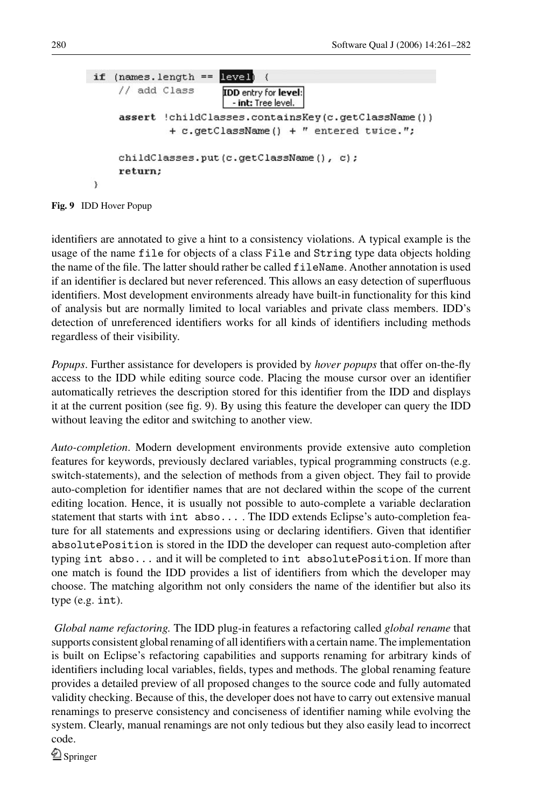```
if (names.length ==level<sup>1</sup>
                                 \left\{ \right.// add Class
                         IDD entry for level:
                           - int: Tree level.
     assert !childClasses.containsKey(c.getClassName())
               + c.getClassName() + " entered twice.";
     childClasses.put(c.getClassName(), c);
     return;
Y
```


identifiers are annotated to give a hint to a consistency violations. A typical example is the usage of the name file for objects of a class File and String type data objects holding the name of the file. The latter should rather be called fileName. Another annotation is used if an identifier is declared but never referenced. This allows an easy detection of superfluous identifiers. Most development environments already have built-in functionality for this kind of analysis but are normally limited to local variables and private class members. IDD's detection of unreferenced identifiers works for all kinds of identifiers including methods regardless of their visibility.

*Popups*. Further assistance for developers is provided by *hover popups* that offer on-the-fly access to the IDD while editing source code. Placing the mouse cursor over an identifier automatically retrieves the description stored for this identifier from the IDD and displays it at the current position (see fig. 9). By using this feature the developer can query the IDD without leaving the editor and switching to another view.

*Auto-completion*. Modern development environments provide extensive auto completion features for keywords, previously declared variables, typical programming constructs (e.g. switch-statements), and the selection of methods from a given object. They fail to provide auto-completion for identifier names that are not declared within the scope of the current editing location. Hence, it is usually not possible to auto-complete a variable declaration statement that starts with int abso... . The IDD extends Eclipse's auto-completion feature for all statements and expressions using or declaring identifiers. Given that identifier absolutePosition is stored in the IDD the developer can request auto-completion after typing int abso... and it will be completed to int absolutePosition. If more than one match is found the IDD provides a list of identifiers from which the developer may choose. The matching algorithm not only considers the name of the identifier but also its type (e.g. int).

*Global name refactoring.* The IDD plug-in features a refactoring called *global rename* that supports consistent global renaming of all identifiers with a certain name. The implementation is built on Eclipse's refactoring capabilities and supports renaming for arbitrary kinds of identifiers including local variables, fields, types and methods. The global renaming feature provides a detailed preview of all proposed changes to the source code and fully automated validity checking. Because of this, the developer does not have to carry out extensive manual renamings to preserve consistency and conciseness of identifier naming while evolving the system. Clearly, manual renamings are not only tedious but they also easily lead to incorrect code.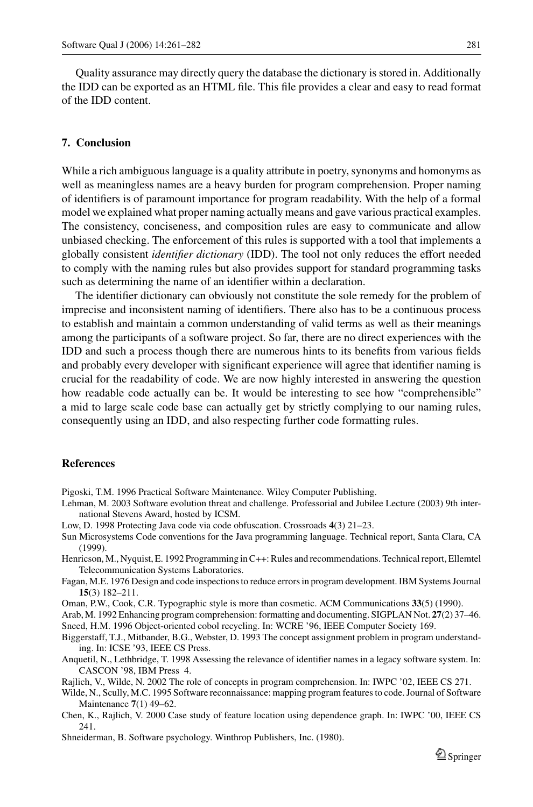Quality assurance may directly query the database the dictionary is stored in. Additionally the IDD can be exported as an HTML file. This file provides a clear and easy to read format of the IDD content.

## **7. Conclusion**

While a rich ambiguous language is a quality attribute in poetry, synonyms and homonyms as well as meaningless names are a heavy burden for program comprehension. Proper naming of identifiers is of paramount importance for program readability. With the help of a formal model we explained what proper naming actually means and gave various practical examples. The consistency, conciseness, and composition rules are easy to communicate and allow unbiased checking. The enforcement of this rules is supported with a tool that implements a globally consistent *identifier dictionary* (IDD). The tool not only reduces the effort needed to comply with the naming rules but also provides support for standard programming tasks such as determining the name of an identifier within a declaration.

The identifier dictionary can obviously not constitute the sole remedy for the problem of imprecise and inconsistent naming of identifiers. There also has to be a continuous process to establish and maintain a common understanding of valid terms as well as their meanings among the participants of a software project. So far, there are no direct experiences with the IDD and such a process though there are numerous hints to its benefits from various fields and probably every developer with significant experience will agree that identifier naming is crucial for the readability of code. We are now highly interested in answering the question how readable code actually can be. It would be interesting to see how "comprehensible" a mid to large scale code base can actually get by strictly complying to our naming rules, consequently using an IDD, and also respecting further code formatting rules.

## **References**

Pigoski, T.M. 1996 Practical Software Maintenance. Wiley Computer Publishing.

- Lehman, M. 2003 Software evolution threat and challenge. Professorial and Jubilee Lecture (2003) 9th international Stevens Award, hosted by ICSM.
- Low, D. 1998 Protecting Java code via code obfuscation. Crossroads **4**(3) 21–23.
- Sun Microsystems Code conventions for the Java programming language. Technical report, Santa Clara, CA (1999).
- Henricson, M., Nyquist, E. 1992 Programming in C++: Rules and recommendations. Technical report, Ellemtel Telecommunication Systems Laboratories.
- Fagan, M.E. 1976 Design and code inspections to reduce errors in program development. IBM Systems Journal **15**(3) 182–211.
- Oman, P.W., Cook, C.R. Typographic style is more than cosmetic. ACM Communications **33**(5) (1990).
- Arab, M. 1992 Enhancing program comprehension: formatting and documenting. SIGPLAN Not. **27**(2) 37–46. Sneed, H.M. 1996 Object-oriented cobol recycling. In: WCRE '96, IEEE Computer Society 169.
- Biggerstaff, T.J., Mitbander, B.G., Webster, D. 1993 The concept assignment problem in program understanding. In: ICSE '93, IEEE CS Press.
- Anquetil, N., Lethbridge, T. 1998 Assessing the relevance of identifier names in a legacy software system. In: CASCON '98, IBM Press 4.

Rajlich, V., Wilde, N. 2002 The role of concepts in program comprehension. In: IWPC '02, IEEE CS 271.

- Wilde, N., Scully, M.C. 1995 Software reconnaissance: mapping program features to code. Journal of Software Maintenance **7**(1) 49–62.
- Chen, K., Rajlich, V. 2000 Case study of feature location using dependence graph. In: IWPC '00, IEEE CS 241.
- Shneiderman, B. Software psychology. Winthrop Publishers, Inc. (1980).